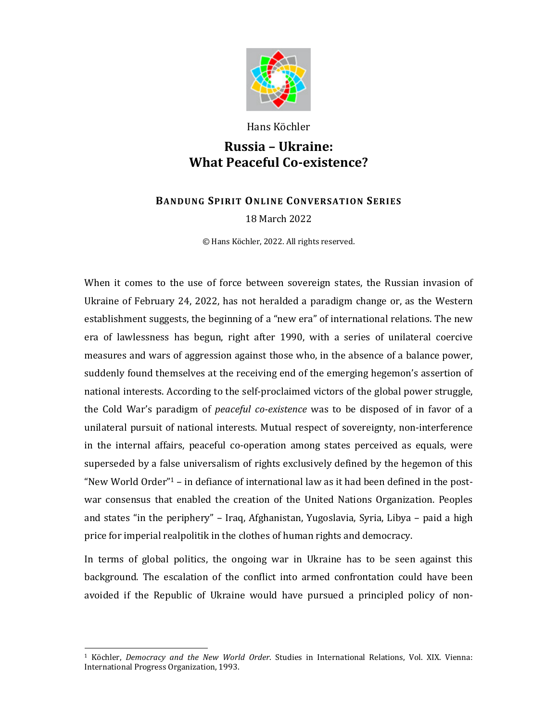

Hans Köchler

## **Russia – Ukraine: What Peaceful Co-existence?**

## **BANDUNG SPIRIT ONLINE CONVERSATION SERIES** 18 March 2022

© Hans Köchler, 2022. All rights reserved.

When it comes to the use of force between sovereign states, the Russian invasion of Ukraine of February 24, 2022, has not heralded a paradigm change or, as the Western establishment suggests, the beginning of a "new era" of international relations. The new era of lawlessness has begun, right after 1990, with a series of unilateral coercive measures and wars of aggression against those who, in the absence of a balance power, suddenly found themselves at the receiving end of the emerging hegemon's assertion of national interests. According to the self-proclaimed victors of the global power struggle, the Cold War's paradigm of *peaceful co-existence* was to be disposed of in favor of a unilateral pursuit of national interests. Mutual respect of sovereignty, non-interference in the internal affairs, peaceful co-operation among states perceived as equals, were superseded by a false universalism of rights exclusively defined by the hegemon of this "New World Order" $1$  – in defiance of international law as it had been defined in the postwar consensus that enabled the creation of the United Nations Organization. Peoples and states "in the periphery" – Iraq, Afghanistan, Yugoslavia, Syria, Libya – paid a high price for imperial realpolitik in the clothes of human rights and democracy.

In terms of global politics, the ongoing war in Ukraine has to be seen against this background. The escalation of the conflict into armed confrontation could have been avoided if the Republic of Ukraine would have pursued a principled policy of non-

<sup>1</sup> Köchler, *Democracy and the New World Order*. Studies in International Relations, Vol. XIX. Vienna: International Progress Organization, 1993.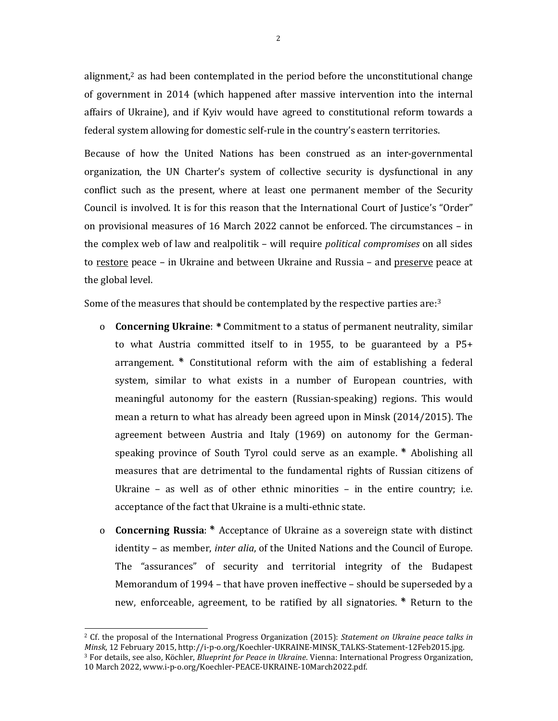alignment, $\lambda^2$  as had been contemplated in the period before the unconstitutional change of government in 2014 (which happened after massive intervention into the internal affairs of Ukraine), and if Kyiv would have agreed to constitutional reform towards a federal system allowing for domestic self-rule in the country's eastern territories.

Because of how the United Nations has been construed as an inter-governmental organization, the UN Charter's system of collective security is dysfunctional in any conflict such as the present, where at least one permanent member of the Security Council is involved. It is for this reason that the International Court of Justice's "Order" on provisional measures of 16 March 2022 cannot be enforced. The circumstances – in the complex web of law and realpolitik – will require *political compromises* on all sides to restore peace – in Ukraine and between Ukraine and Russia – and preserve peace at the global level.

Some of the measures that should be contemplated by the respective parties are:<sup>3</sup>

- o **Concerning Ukraine**: **\*\***Commitment to a status of permanent neutrality, similar to what Austria committed itself to in 1955, to be guaranteed by a P5+ arrangement. **\*\*** Constitutional reform with the aim of establishing a federal system, similar to what exists in a number of European countries, with meaningful autonomy for the eastern (Russian-speaking) regions. This would mean a return to what has already been agreed upon in Minsk (2014/2015). The agreement between Austria and Italy (1969) on autonomy for the Germanspeaking province of South Tyrol could serve as an example. **\*\*** Abolishing all measures that are detrimental to the fundamental rights of Russian citizens of Ukraine – as well as of other ethnic minorities – in the entire country; i.e. acceptance of the fact that Ukraine is a multi-ethnic state.
- o **Concerning Russia**: **\*\*** Acceptance of Ukraine as a sovereign state with distinct identity – as member, *inter alia*, of the United Nations and the Council of Europe. The "assurances" of security and territorial integrity of the Budapest Memorandum of 1994 – that have proven ineffective – should be superseded by a new, enforceable, agreement, to be ratified by all signatories. **\*\*** Return to the

<sup>2</sup> Cf. the proposal of the International Progress Organization (2015): *Statement on Ukraine peace talks in Minsk*, 12 February 2015, http://i-p-o.org/Koechler-UKRAINE-MINSK\_TALKS-Statement-12Feb2015.jpg. <sup>3</sup> For details, see also, Köchler, *Blueprint for Peace in Ukraine*. Vienna: International Progress Organization, 10 March 2022, www.i-p-o.org/Koechler-PEACE-UKRAINE-10March2022.pdf.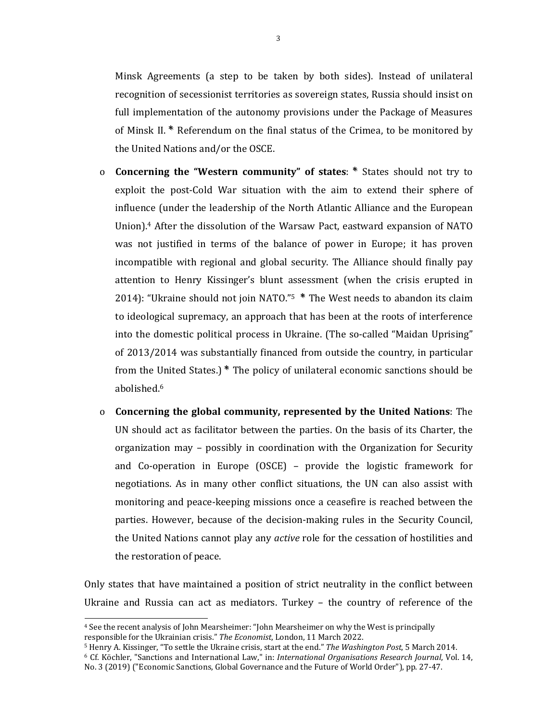Minsk Agreements (a step to be taken by both sides). Instead of unilateral recognition of secessionist territories as sovereign states, Russia should insist on full implementation of the autonomy provisions under the Package of Measures of Minsk II. **\*\*** Referendum on the final status of the Crimea, to be monitored by the United Nations and/or the OSCE.

- o **Concerning the "Western community" of states**: **\*\*** States should not try to exploit the post-Cold War situation with the aim to extend their sphere of influence (under the leadership of the North Atlantic Alliance and the European Union).<sup>4</sup> After the dissolution of the Warsaw Pact, eastward expansion of NATO was not justified in terms of the balance of power in Europe; it has proven incompatible with regional and global security. The Alliance should finally pay attention to Henry Kissinger's blunt assessment (when the crisis erupted in 2014): "Ukraine should not join NATO."<sup>5</sup> **\*\*** The West needs to abandon its claim to ideological supremacy, an approach that has been at the roots of interference into the domestic political process in Ukraine. (The so-called "Maidan Uprising" of 2013/2014 was substantially financed from outside the country, in particular from the United States.) **\*\*** The policy of unilateral economic sanctions should be abolished.<sup>6</sup>
- o **Concerning the global community, represented by the United Nations**: The UN should act as facilitator between the parties. On the basis of its Charter, the organization may – possibly in coordination with the Organization for Security and Co-operation in Europe (OSCE) – provide the logistic framework for negotiations. As in many other conflict situations, the UN can also assist with monitoring and peace-keeping missions once a ceasefire is reached between the parties. However, because of the decision-making rules in the Security Council, the United Nations cannot play any *active* role for the cessation of hostilities and the restoration of peace.

Only states that have maintained a position of strict neutrality in the conflict between Ukraine and Russia can act as mediators. Turkey – the country of reference of the

<sup>4</sup> See the recent analysis of John Mearsheimer: "John Mearsheimer on why the West is principally responsible for the Ukrainian crisis." *The Economist*, London, 11 March 2022.

<sup>5</sup> Henry A. Kissinger, "To settle the Ukraine crisis, start at the end." *The Washington Post*, 5 March 2014.

<sup>6</sup> Cf. Köchler, "Sanctions and International Law," in: *International Organisations Research Journal*, Vol. 14, No. 3 (2019) ("Economic Sanctions, Global Governance and the Future of World Order"), pp. 27-47.